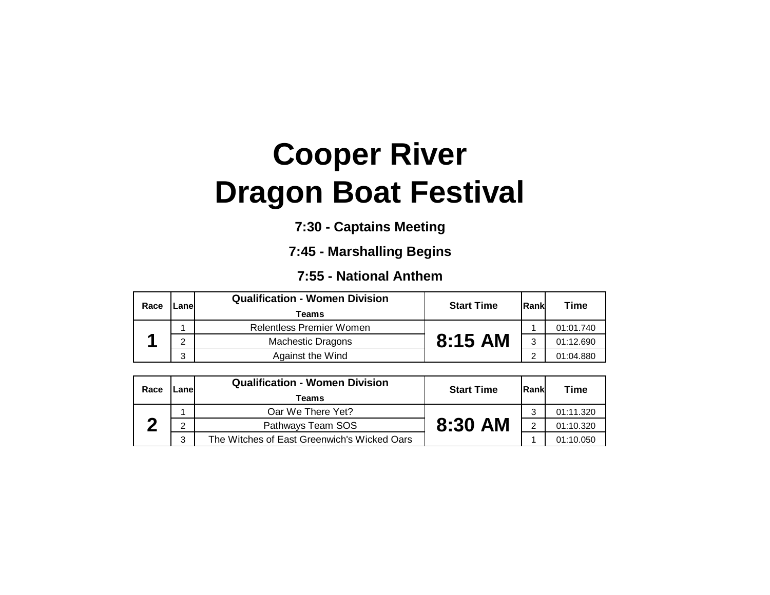## **Cooper River Dragon Boat Festival**

**7:30 - Captains Meeting**

**7:45 - Marshalling Begins**

**7:55 - National Anthem**

| Race | $L$ anel                                   | <b>Qualification - Women Division</b><br>Teams | <b>Start Time</b> | Rank      | <b>Time</b> |
|------|--------------------------------------------|------------------------------------------------|-------------------|-----------|-------------|
|      |                                            | <b>Relentless Premier Women</b>                |                   |           | 01:01.740   |
|      | $8:15$ AM<br><b>Machestic Dragons</b><br>◠ |                                                | 2                 | 01:12.690 |             |
|      | ≏<br>J                                     | Against the Wind                               |                   | ◠         | 01:04.880   |

| Race | _anel | <b>Qualification - Women Division</b><br>Teams | <b>Start Time</b> | Rank | Time      |
|------|-------|------------------------------------------------|-------------------|------|-----------|
|      |       | Oar We There Yet?                              |                   | ◠    | 01:11.320 |
|      | ◠     | Pathways Team SOS                              | 8:30 AM           | 2    | 01:10.320 |
|      | 3     | The Witches of East Greenwich's Wicked Oars    |                   |      | 01:10.050 |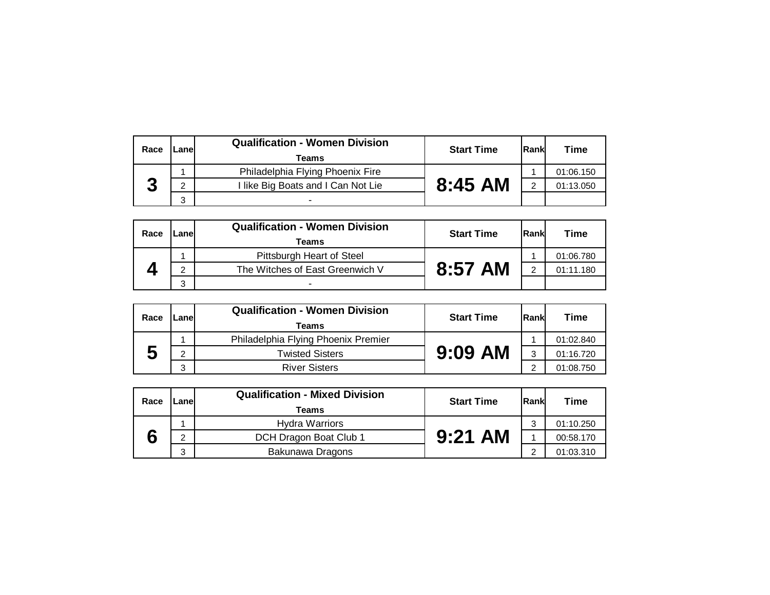| Race | _anel | <b>Qualification - Women Division</b><br>Teams | <b>Start Time</b> | Rankl | Time      |
|------|-------|------------------------------------------------|-------------------|-------|-----------|
|      |       | Philadelphia Flying Phoenix Fire               |                   |       | 01:06.150 |
|      | C     | I like Big Boats and I Can Not Lie             | $8:45$ AM         |       | 01:13.050 |
|      | 2     |                                                |                   |       |           |

| Race | _anel | <b>Qualification - Women Division</b><br>Teams | <b>Start Time</b> | Rank | <b>Time</b> |
|------|-------|------------------------------------------------|-------------------|------|-------------|
|      |       | Pittsburgh Heart of Steel                      |                   |      | 01:06.780   |
|      | C     | The Witches of East Greenwich V                | 8:57 AM           |      | 01:11.180   |
|      | 2     |                                                |                   |      |             |

| Race | Lanel                                    | <b>Qualification - Women Division</b><br>Teams | <b>Start Time</b> | Rank      | Time      |
|------|------------------------------------------|------------------------------------------------|-------------------|-----------|-----------|
|      |                                          | Philadelphia Flying Phoenix Premier            |                   |           | 01:02.840 |
|      | $9:09$ AM<br><b>Twisted Sisters</b><br>C |                                                | વ                 | 01:16.720 |           |
|      | 3                                        | <b>River Sisters</b>                           |                   | $\sim$    | 01:08.750 |

| Race | _anel                                    | <b>Qualification - Mixed Division</b><br>Teams | <b>Start Time</b> | Rank      | Time      |
|------|------------------------------------------|------------------------------------------------|-------------------|-----------|-----------|
|      |                                          | <b>Hydra Warriors</b>                          |                   | ົ         | 01:10.250 |
|      | $9:21$ AM<br>DCH Dragon Boat Club 1<br>C |                                                |                   | 00:58.170 |           |
|      | 3                                        | Bakunawa Dragons                               |                   | $\sim$    | 01:03.310 |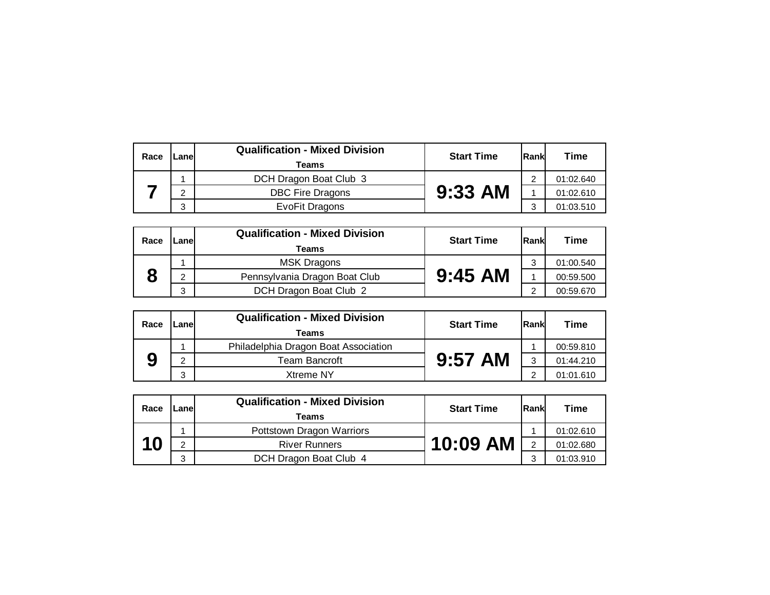| Race | ∟anel | <b>Qualification - Mixed Division</b><br>Teams | <b>Start Time</b> | <b>Rank</b> | Time      |
|------|-------|------------------------------------------------|-------------------|-------------|-----------|
|      |       | DCH Dragon Boat Club 3                         |                   | ◠           | 01:02.640 |
|      | ົ     | <b>DBC Fire Dragons</b>                        | $9:33$ AM         |             | 01:02.610 |
|      | C.    | EvoFit Dragons                                 |                   | っ           | 01:03.510 |

| Race | Lanel | <b>Qualification - Mixed Division</b><br>Teams | <b>Start Time</b> | Rank | <b>Time</b> |
|------|-------|------------------------------------------------|-------------------|------|-------------|
|      |       | <b>MSK Dragons</b>                             |                   | っ    | 01:00.540   |
|      | C     | Pennsylvania Dragon Boat Club                  | $9:45$ AM         |      | 00:59.500   |
|      | 3     | DCH Dragon Boat Club 2                         |                   | ⌒    | 00:59.670   |

| Race | Lanel | <b>Qualification - Mixed Division</b><br>Teams | <b>Start Time</b> | <b>IRankl</b> | Time      |
|------|-------|------------------------------------------------|-------------------|---------------|-----------|
|      |       | Philadelphia Dragon Boat Association           |                   |               | 00:59.810 |
|      | C     | Team Bancroft                                  | $9:57$ AM         | 3             | 01:44.210 |
|      | 3     | Xtreme NY                                      |                   | $\sim$        | 01:01.610 |

| Race | Lanel | <b>Qualification - Mixed Division</b><br><b>Teams</b> | <b>Start Time</b> | lRank          | <b>Time</b> |
|------|-------|-------------------------------------------------------|-------------------|----------------|-------------|
|      |       | Pottstown Dragon Warriors                             |                   |                | 01:02.610   |
| 10   | ົ     | <b>River Runners</b>                                  | 10:09 AM          | $\overline{2}$ | 01:02.680   |
|      | 3     | DCH Dragon Boat Club 4                                |                   | વ              | 01:03.910   |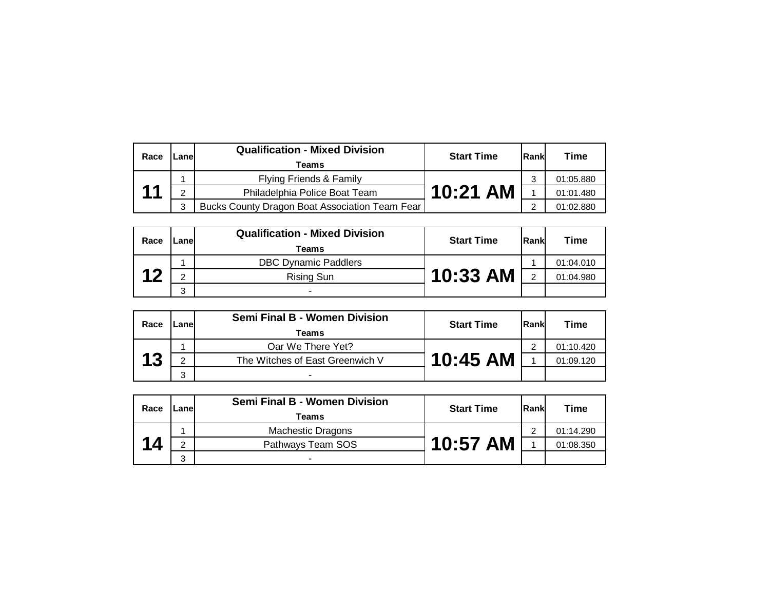| Race | _anel        | <b>Qualification - Mixed Division</b><br>Teams | <b>Start Time</b> | Rankl | Time      |
|------|--------------|------------------------------------------------|-------------------|-------|-----------|
|      |              | Flying Friends & Family                        |                   |       | 01:05.880 |
| 44   | <sup>o</sup> | Philadelphia Police Boat Team                  | 10:21 AM          |       | 01:01.480 |
|      | 3            | Bucks County Dragon Boat Association Team Fear |                   |       | 01:02.880 |

|  | Race             | Lanel | <b>Qualification - Mixed Division</b><br>Teams | <b>Start Time</b> | <b>Rankl</b> | <b>Time</b> |
|--|------------------|-------|------------------------------------------------|-------------------|--------------|-------------|
|  | $\boldsymbol{A}$ |       | <b>DBC Dynamic Paddlers</b>                    |                   |              | 01:04.010   |
|  |                  | C     | <b>Rising Sun</b>                              | 10:33 AM I        | っ            | 01:04.980   |
|  |                  | 3     |                                                |                   |              |             |

| Race | Lanel | <b>Semi Final B - Women Division</b><br>Teams | <b>Start Time</b> | Rank | Time      |
|------|-------|-----------------------------------------------|-------------------|------|-----------|
| 12   |       | Oar We There Yet?                             |                   | ◠    | 01:10.420 |
|      | າ     | The Witches of East Greenwich V               | 10:45 AM          |      | 01:09.120 |
|      | 3     |                                               |                   |      |           |

| Race | ∟anel | <b>Semi Final B - Women Division</b><br>Teams | <b>Start Time</b> | Rank | Time      |
|------|-------|-----------------------------------------------|-------------------|------|-----------|
|      |       | <b>Machestic Dragons</b>                      |                   | ⌒    | 01:14.290 |
| 14   | C     | Pathways Team SOS                             | 10:57 AM          |      | 01:08.350 |
|      | 3     | ۰                                             |                   |      |           |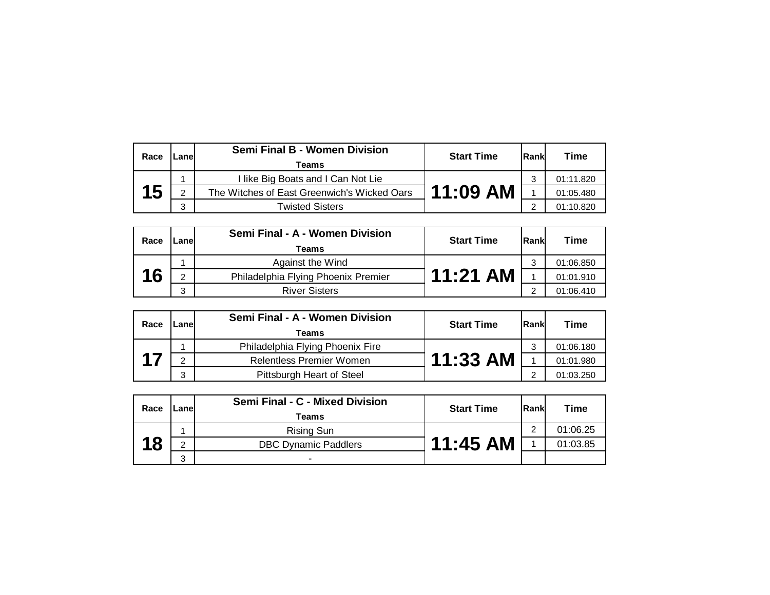| Race | _anel         | Semi Final B - Women Division<br>Teams      | <b>Start Time</b> | Rank | Time      |
|------|---------------|---------------------------------------------|-------------------|------|-----------|
| 15   |               | I like Big Boats and I Can Not Lie          |                   | ົ    | 01:11.820 |
|      | $\mathcal{D}$ | The Witches of East Greenwich's Wicked Oars | 11:09 AM          |      | 01:05.480 |
|      | 3             | <b>Twisted Sisters</b>                      |                   | ◠    | 01:10.820 |

| Race | Lanel | Semi Final - A - Women Division<br>Teams | <b>Start Time</b> | <b>IRankl</b> | Time      |
|------|-------|------------------------------------------|-------------------|---------------|-----------|
|      |       | Against the Wind                         |                   | ົ             | 01:06.850 |
| 16   | C     | Philadelphia Flying Phoenix Premier      | $11:21$ AM        |               | 01:01.910 |
|      | ◠     | <b>River Sisters</b>                     |                   | ◠             | 01:06.410 |

| Race | Lanel | Semi Final - A - Women Division<br>Teams | <b>Start Time</b> | Rank       | Time      |
|------|-------|------------------------------------------|-------------------|------------|-----------|
|      |       | Philadelphia Flying Phoenix Fire         |                   | ◠          | 01:06.180 |
|      | ∩     | <b>Relentless Premier Women</b>          | 11:33 AM          |            | 01:01.980 |
|      | 3     | Pittsburgh Heart of Steel                |                   | $\sqrt{2}$ | 01:03.250 |

| Race | Lanel | Semi Final - C - Mixed Division<br>Teams | <b>Start Time</b> | Rank | Time     |
|------|-------|------------------------------------------|-------------------|------|----------|
|      |       | <b>Rising Sun</b>                        |                   | ∩    | 01:06.25 |
| 18   | C     | <b>DBC Dynamic Paddlers</b>              | $11:45$ AM        |      | 01:03.85 |
|      | 3     | $\overline{\phantom{a}}$                 |                   |      |          |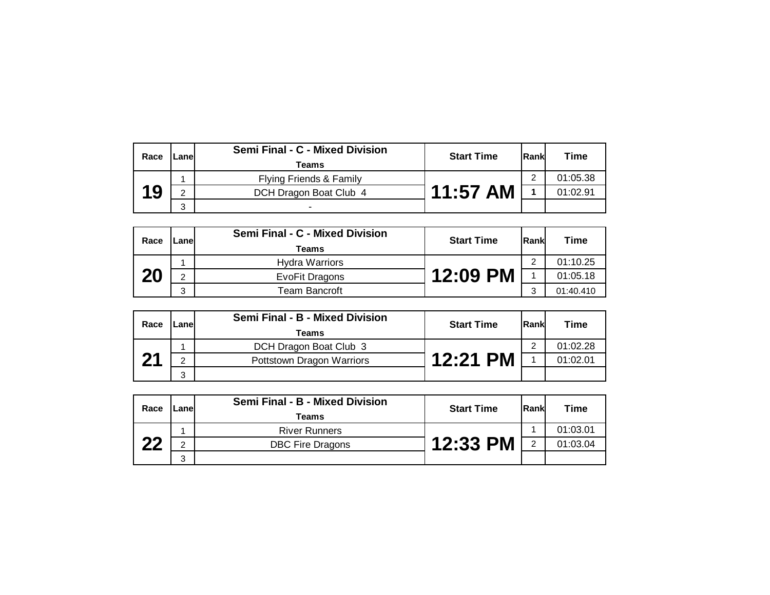| Race | Lanel        | Semi Final - C - Mixed Division<br>Teams | <b>Start Time</b> | Rank | Time     |
|------|--------------|------------------------------------------|-------------------|------|----------|
| 19   |              | Flying Friends & Family                  |                   | ◠    | 01:05.38 |
|      | <sub>2</sub> | DCH Dragon Boat Club 4                   | $11:57$ AM        |      | 01:02.91 |
|      | 3            |                                          |                   |      |          |

| Race | Lanel | Semi Final - C - Mixed Division<br>Teams | <b>Start Time</b> | lRankl | <b>Time</b> |
|------|-------|------------------------------------------|-------------------|--------|-------------|
|      |       | <b>Hydra Warriors</b>                    |                   | ◠      | 01:10.25    |
| 20   | ◠     | EvoFit Dragons                           | 12:09 PM          |        | 01:05.18    |
|      | 3     | Team Bancroft                            |                   | ົ      | 01:40.410   |

| Race         | Lanel | Semi Final - B - Mixed Division<br>Teams | <b>Start Time</b> | Rank | Time     |
|--------------|-------|------------------------------------------|-------------------|------|----------|
| $\mathbf{A}$ |       | DCH Dragon Boat Club 3                   |                   | ◠    | 01:02.28 |
|              | C.    | Pottstown Dragon Warriors                | 12:21 PM          |      | 01:02.01 |
|              | 3     |                                          |                   |      |          |

| Race | Lanel | Semi Final - B - Mixed Division<br><b>Teams</b> | <b>Start Time</b> | <b>IRankl</b> | Time     |
|------|-------|-------------------------------------------------|-------------------|---------------|----------|
| つつ   |       | <b>River Runners</b>                            |                   |               | 01:03.01 |
|      | ◠     | <b>DBC Fire Dragons</b>                         | 12:33 PM [        | $\mathcal{P}$ | 01:03.04 |
|      | 3     |                                                 |                   |               |          |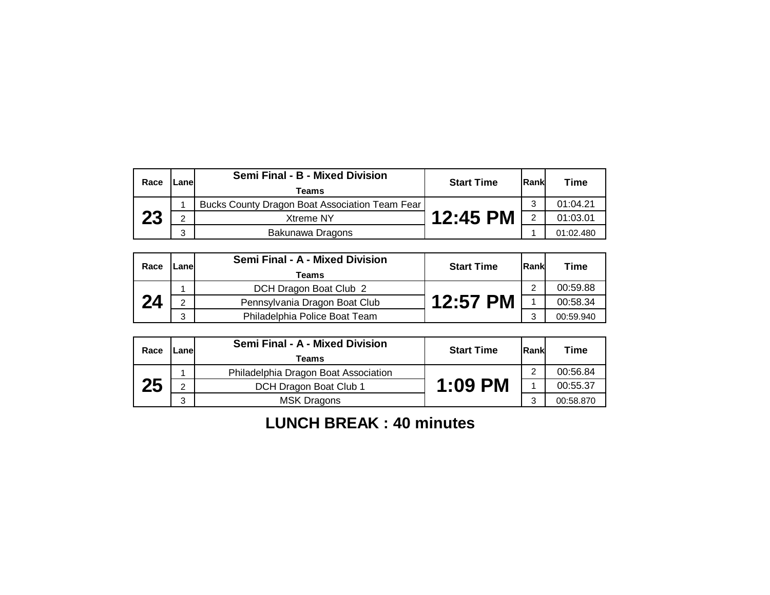| Race | ∟anel | Semi Final - B - Mixed Division<br>Teams       | <b>Start Time</b> | Rank | Time      |
|------|-------|------------------------------------------------|-------------------|------|-----------|
| 23   |       | Bucks County Dragon Boat Association Team Fear |                   | ⌒    | 01:04.21  |
|      | C     | <b>Xtreme NY</b>                               | 12:45 PM          | っ    | 01:03.01  |
|      | 3     | Bakunawa Dragons                               |                   |      | 01:02.480 |

| Race | Lanel         | Semi Final - A - Mixed Division<br>Teams | <b>Start Time</b> | Rank | <b>Time</b> |
|------|---------------|------------------------------------------|-------------------|------|-------------|
| 24   |               | DCH Dragon Boat Club 2                   |                   | ⌒    | 00:59.88    |
|      | $\mathcal{D}$ | Pennsylvania Dragon Boat Club            | 12:57 PM          |      | 00:58.34    |
|      | 3             | Philadelphia Police Boat Team            |                   |      | 00:59.940   |

| Race | Lanel | Semi Final - A - Mixed Division<br>Teams | <b>Start Time</b> | Rank | <b>Time</b> |
|------|-------|------------------------------------------|-------------------|------|-------------|
| 25   |       | Philadelphia Dragon Boat Association     | $1:09$ PM         | ⌒    | 00:56.84    |
|      | C     | DCH Dragon Boat Club 1                   |                   |      | 00:55.37    |
|      | 3     | <b>MSK Dragons</b>                       |                   | 2    | 00:58.870   |

**LUNCH BREAK : 40 minutes**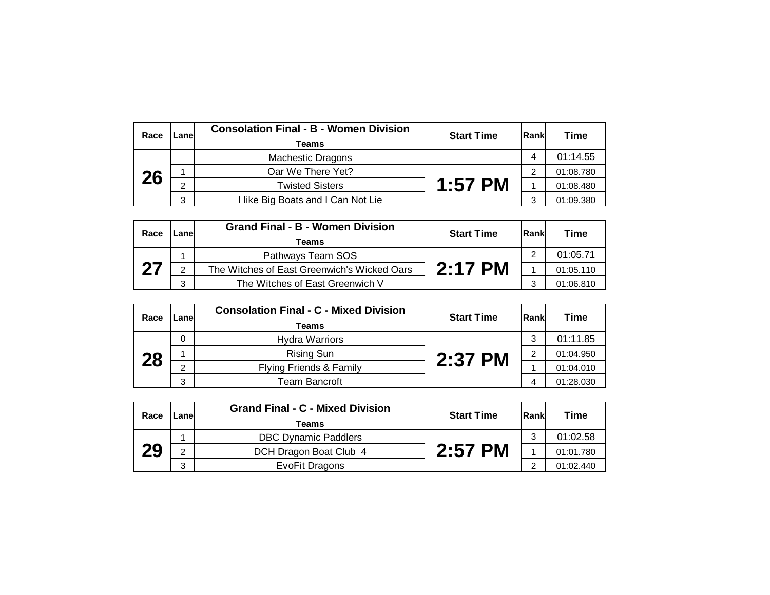| Race | ane.   | <b>Consolation Final - B - Women Division</b><br>Teams | <b>Start Time</b> | <b>Rankl</b> | Time      |
|------|--------|--------------------------------------------------------|-------------------|--------------|-----------|
|      |        | <b>Machestic Dragons</b>                               |                   |              | 01:14.55  |
| 26   |        | Oar We There Yet?                                      | $1:57$ PM         | ◠            | 01:08.780 |
|      | $\sim$ | <b>Twisted Sisters</b>                                 |                   |              | 01:08.480 |
|      | 3      | like Big Boats and I Can Not Lie                       |                   | ົ            | 01:09.380 |

| Race | Lanel | <b>Grand Final - B - Women Division</b><br>Teams | <b>Start Time</b> | <b>Rank</b> | <b>Time</b> |
|------|-------|--------------------------------------------------|-------------------|-------------|-------------|
|      |       | Pathways Team SOS                                | $2:17$ PM         | ◠           | 01:05.71    |
| 27   | ົ     | The Witches of East Greenwich's Wicked Oars      |                   |             | 01:05.110   |
|      | 3     | The Witches of East Greenwich V                  |                   | 2           | 01:06.810   |

| Race | -anel | <b>Consolation Final - C - Mixed Division</b><br><b>Teams</b> | <b>Start Time</b> | Rank | Time      |
|------|-------|---------------------------------------------------------------|-------------------|------|-----------|
|      | 0     | <b>Hydra Warriors</b>                                         | 2:37 PM           | 3    | 01:11.85  |
| 28   |       | <b>Rising Sun</b>                                             |                   | ◠    | 01:04.950 |
|      | ⌒     | Flying Friends & Family                                       |                   |      | 01:04.010 |
|      | 3     | Team Bancroft                                                 |                   | 4    | 01:28.030 |

| Race | Lanel        | <b>Grand Final - C - Mixed Division</b><br>Teams | <b>Start Time</b> | Rank | Time      |
|------|--------------|--------------------------------------------------|-------------------|------|-----------|
|      |              | <b>DBC Dynamic Paddlers</b>                      | $2:57$ PM         | 3    | 01:02.58  |
| 29   | <sub>2</sub> | DCH Dragon Boat Club 4                           |                   |      | 01:01.780 |
|      | 3            | EvoFit Dragons                                   |                   | ◠    | 01:02.440 |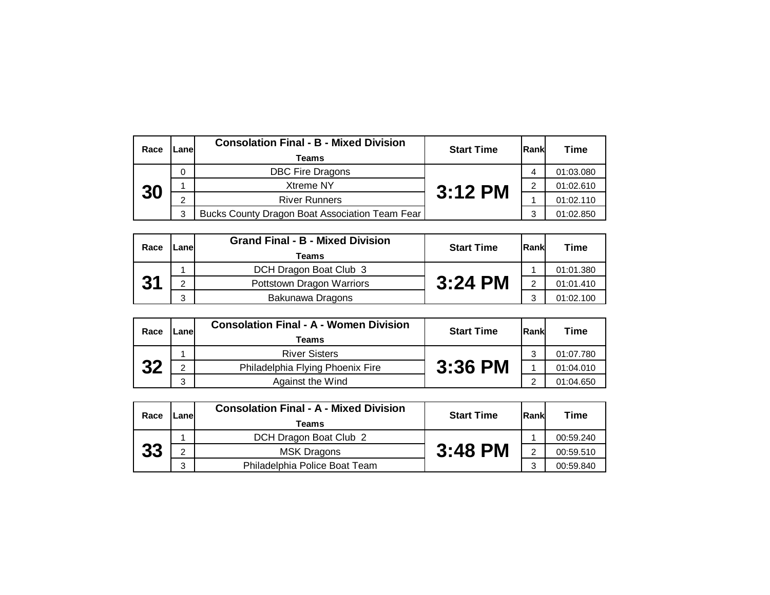| Race | Lanel | <b>Consolation Final - B - Mixed Division</b><br>Teams | <b>Start Time</b> | <b>Rankl</b> | Time      |
|------|-------|--------------------------------------------------------|-------------------|--------------|-----------|
|      | 0     | <b>DBC Fire Dragons</b>                                | $3:12$ PM         |              | 01:03.080 |
| 30   |       | <b>Xtreme NY</b>                                       |                   | ◠            | 01:02.610 |
|      | C     | <b>River Runners</b>                                   |                   |              | 01:02.110 |
|      | 3     | Bucks County Dragon Boat Association Team Fear         |                   | っ            | 01:02.850 |

| Race | Lanel | <b>Grand Final - B - Mixed Division</b><br>Teams | <b>Start Time</b> | Rank | Time      |
|------|-------|--------------------------------------------------|-------------------|------|-----------|
|      |       | DCH Dragon Boat Club 3                           | $3:24$ PM         |      | 01:01.380 |
| 31   | C     | Pottstown Dragon Warriors                        |                   |      | 01:01.410 |
|      | 3     | Bakunawa Dragons                                 |                   |      | 01:02.100 |

| Race | _anel | <b>Consolation Final - A - Women Division</b><br>Teams | <b>Start Time</b> | Rank | Time      |
|------|-------|--------------------------------------------------------|-------------------|------|-----------|
| 32   |       | <b>River Sisters</b>                                   | $3:36$ PM         | ົ    | 01:07.780 |
|      | ◠     | Philadelphia Flying Phoenix Fire                       |                   |      | 01:04.010 |
|      | 3     | Against the Wind                                       |                   | ◠    | 01:04.650 |

| Race | _anel | <b>Consolation Final - A - Mixed Division</b><br><b>Teams</b> | <b>Start Time</b> | lRank | Time      |
|------|-------|---------------------------------------------------------------|-------------------|-------|-----------|
|      |       | DCH Dragon Boat Club 2                                        | $3:48$ PM         |       | 00:59.240 |
| 33   | C     | <b>MSK Dragons</b>                                            |                   | ∩     | 00:59.510 |
|      | 3     | Philadelphia Police Boat Team                                 |                   | ົ     | 00:59.840 |